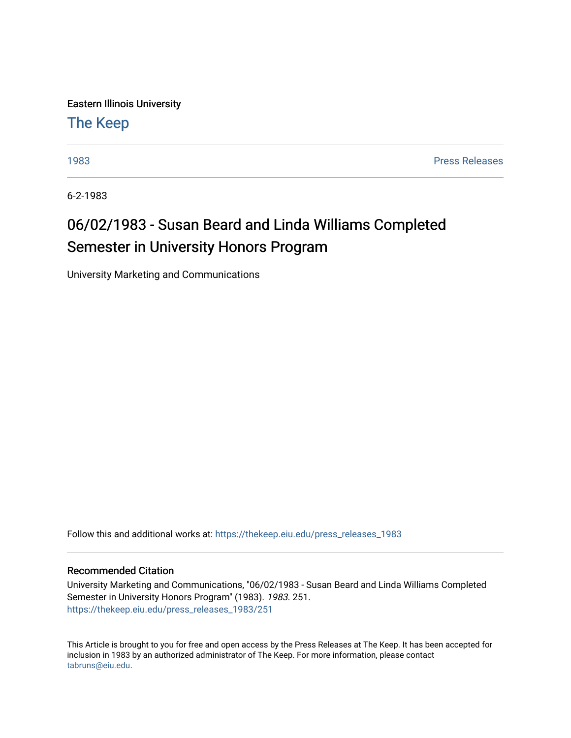Eastern Illinois University

[The Keep](https://thekeep.eiu.edu/) 

[1983](https://thekeep.eiu.edu/press_releases_1983) [Press Releases](https://thekeep.eiu.edu/press_releases_collection) 

6-2-1983

## 06/02/1983 - Susan Beard and Linda Williams Completed Semester in University Honors Program

University Marketing and Communications

Follow this and additional works at: [https://thekeep.eiu.edu/press\\_releases\\_1983](https://thekeep.eiu.edu/press_releases_1983?utm_source=thekeep.eiu.edu%2Fpress_releases_1983%2F251&utm_medium=PDF&utm_campaign=PDFCoverPages) 

## Recommended Citation

University Marketing and Communications, "06/02/1983 - Susan Beard and Linda Williams Completed Semester in University Honors Program" (1983). 1983. 251. [https://thekeep.eiu.edu/press\\_releases\\_1983/251](https://thekeep.eiu.edu/press_releases_1983/251?utm_source=thekeep.eiu.edu%2Fpress_releases_1983%2F251&utm_medium=PDF&utm_campaign=PDFCoverPages) 

This Article is brought to you for free and open access by the Press Releases at The Keep. It has been accepted for inclusion in 1983 by an authorized administrator of The Keep. For more information, please contact [tabruns@eiu.edu.](mailto:tabruns@eiu.edu)